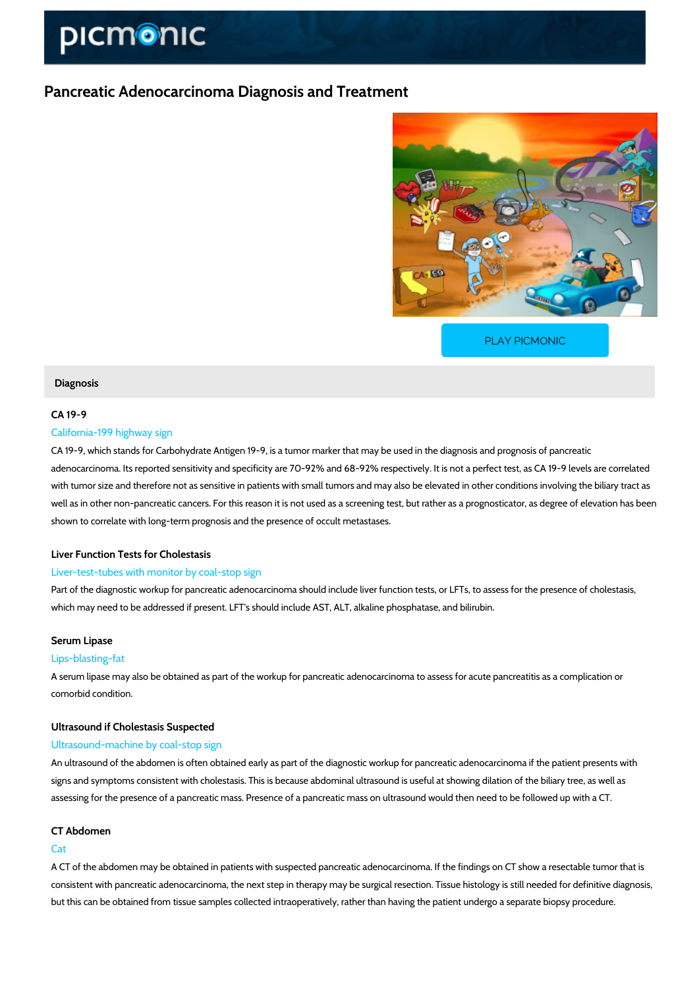# Pancreatic Adenocarcinoma Diagnosis and Treatment

[PLAY PICMONIC](https://www.picmonic.com/learn/pancreatic-adenocarcinoma-diagnosis-and-treatment_50055?utm_source=downloadable_content&utm_medium=distributedcontent&utm_campaign=pathways_pdf&utm_content=Pancreatic Adenocarcinoma Diagnosis and Treatment&utm_ad_group=leads&utm_market=all)

#### Diagnosis

## CA 19-9

## California-199 highway sign

CA 19-9, which stands for Carbohydrate Antigen 19-9, is a tumor marker that may be used in t adenocarcinoma. Its reported sensitivity and specificity are 70-92% and 68-92% respectively. with tumor size and therefore not as sensitive in patients with small tumors and may also be  $\epsilon$ well as in other non-pancreatic cancers. For this reason it is not used as a screening test, but shown to correlate with long-term prognosis and the presence of occult metastases.

## Liver Function Tests for Cholestasis

## Liver-test-tubes with monitor by coal-stop sign

Part of the diagnostic workup for pancreatic adenocarcinoma should include liver function tes which may need to be addressed if present. LFT's should include AST, ALT, alkaline phosphat

### Serum Lipase

## Lips-blasting-fat

A serum lipase may also be obtained as part of the workup for pancreatic adenocarcinoma to a comorbid condition.

## Ultrasound if Cholestasis Suspected

## Ultrasound-machine by coal-stop sign

An ultrasound of the abdomen is often obtained early as part of the diagnostic workup for pan signs and symptoms consistent with cholestasis. This is because abdominal ultrasound is usef assessing for the presence of a pancreatic mass. Presence of a pancreatic mass on ultrasoun

## CT Abdomen

## Cat

A CT of the abdomen may be obtained in patients with suspected pancreatic adenocarcinoma. consistent with pancreatic adenocarcinoma, the next step in therapy may be surgical resection but this can be obtained from tissue samples collected intraoperatively, rather than having th